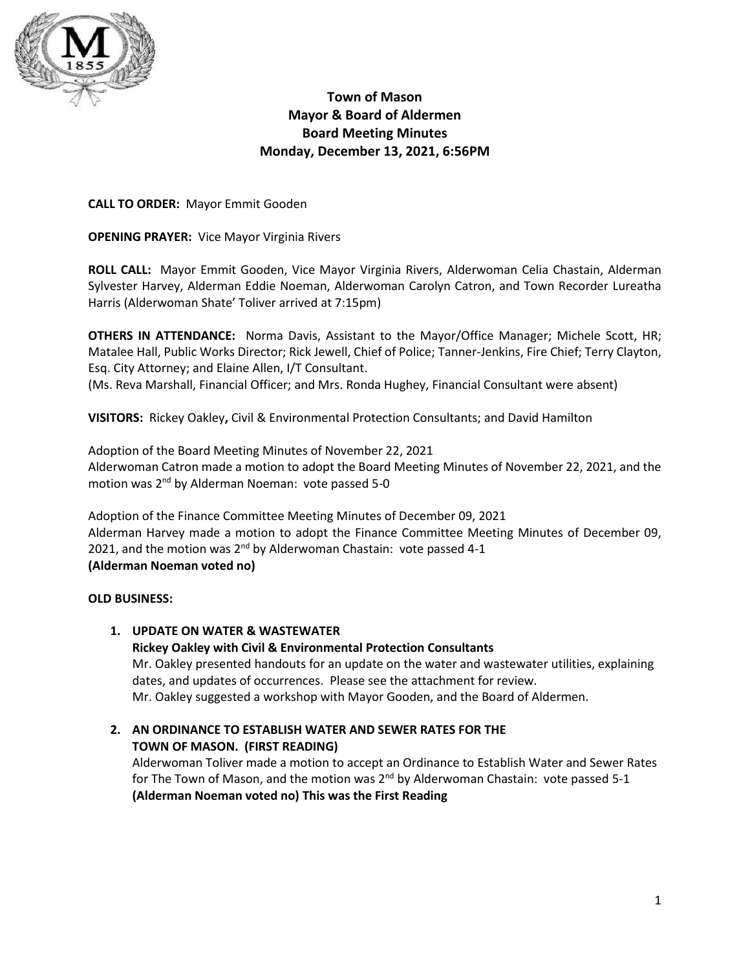

# **Town of Mason Mayor & Board of Aldermen Board Meeting Minutes Monday, December 13, 2021, 6:56PM**

**CALL TO ORDER:** Mayor Emmit Gooden

**OPENING PRAYER:** Vice Mayor Virginia Rivers

**ROLL CALL:** Mayor Emmit Gooden, Vice Mayor Virginia Rivers, Alderwoman Celia Chastain, Alderman Sylvester Harvey, Alderman Eddie Noeman, Alderwoman Carolyn Catron, and Town Recorder Lureatha Harris (Alderwoman Shate' Toliver arrived at 7:15pm)

**OTHERS IN ATTENDANCE:** Norma Davis, Assistant to the Mayor/Office Manager; Michele Scott, HR; Matalee Hall, Public Works Director; Rick Jewell, Chief of Police; Tanner-Jenkins, Fire Chief; Terry Clayton, Esq. City Attorney; and Elaine Allen, I/T Consultant.

(Ms. Reva Marshall, Financial Officer; and Mrs. Ronda Hughey, Financial Consultant were absent)

**VISITORS:** Rickey Oakley**,** Civil & Environmental Protection Consultants; and David Hamilton

Adoption of the Board Meeting Minutes of November 22, 2021 Alderwoman Catron made a motion to adopt the Board Meeting Minutes of November 22, 2021, and the motion was 2<sup>nd</sup> by Alderman Noeman: vote passed 5-0

Adoption of the Finance Committee Meeting Minutes of December 09, 2021 Alderman Harvey made a motion to adopt the Finance Committee Meeting Minutes of December 09, 2021, and the motion was 2<sup>nd</sup> by Alderwoman Chastain: vote passed 4-1 **(Alderman Noeman voted no)**

# **OLD BUSINESS:**

# **1. UPDATE ON WATER & WASTEWATER**

**Rickey Oakley with Civil & Environmental Protection Consultants**  Mr. Oakley presented handouts for an update on the water and wastewater utilities, explaining dates, and updates of occurrences. Please see the attachment for review. Mr. Oakley suggested a workshop with Mayor Gooden, and the Board of Aldermen.

# **2. AN ORDINANCE TO ESTABLISH WATER AND SEWER RATES FOR THE TOWN OF MASON. (FIRST READING)**

Alderwoman Toliver made a motion to accept an Ordinance to Establish Water and Sewer Rates for The Town of Mason, and the motion was 2<sup>nd</sup> by Alderwoman Chastain: vote passed 5-1 **(Alderman Noeman voted no) This was the First Reading**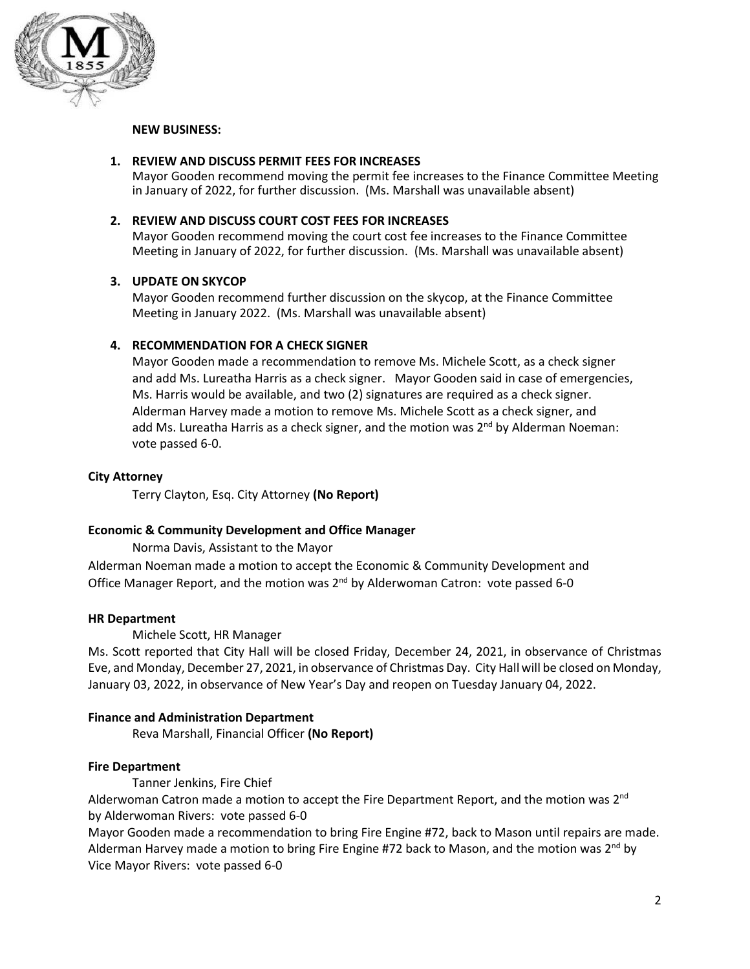

### **NEW BUSINESS:**

### **1. REVIEW AND DISCUSS PERMIT FEES FOR INCREASES**

Mayor Gooden recommend moving the permit fee increases to the Finance Committee Meeting in January of 2022, for further discussion. (Ms. Marshall was unavailable absent)

#### **2. REVIEW AND DISCUSS COURT COST FEES FOR INCREASES**

Mayor Gooden recommend moving the court cost fee increases to the Finance Committee Meeting in January of 2022, for further discussion. (Ms. Marshall was unavailable absent)

#### **3. UPDATE ON SKYCOP**

Mayor Gooden recommend further discussion on the skycop, at the Finance Committee Meeting in January 2022. (Ms. Marshall was unavailable absent)

### **4. RECOMMENDATION FOR A CHECK SIGNER**

Mayor Gooden made a recommendation to remove Ms. Michele Scott, as a check signer and add Ms. Lureatha Harris as a check signer. Mayor Gooden said in case of emergencies, Ms. Harris would be available, and two (2) signatures are required as a check signer. Alderman Harvey made a motion to remove Ms. Michele Scott as a check signer, and add Ms. Lureatha Harris as a check signer, and the motion was 2<sup>nd</sup> by Alderman Noeman: vote passed 6-0.

### **City Attorney**

Terry Clayton, Esq. City Attorney **(No Report)**

#### **Economic & Community Development and Office Manager**

Norma Davis, Assistant to the Mayor

Alderman Noeman made a motion to accept the Economic & Community Development and Office Manager Report, and the motion was 2<sup>nd</sup> by Alderwoman Catron: vote passed 6-0

#### **HR Department**

Michele Scott, HR Manager

Ms. Scott reported that City Hall will be closed Friday, December 24, 2021, in observance of Christmas Eve, and Monday, December 27, 2021, in observance of Christmas Day. City Hall will be closed on Monday, January 03, 2022, in observance of New Year's Day and reopen on Tuesday January 04, 2022.

### **Finance and Administration Department**

Reva Marshall, Financial Officer **(No Report)**

### **Fire Department**

Tanner Jenkins, Fire Chief

Alderwoman Catron made a motion to accept the Fire Department Report, and the motion was 2<sup>nd</sup> by Alderwoman Rivers: vote passed 6-0

Mayor Gooden made a recommendation to bring Fire Engine #72, back to Mason until repairs are made. Alderman Harvey made a motion to bring Fire Engine #72 back to Mason, and the motion was 2<sup>nd</sup> by Vice Mayor Rivers: vote passed 6-0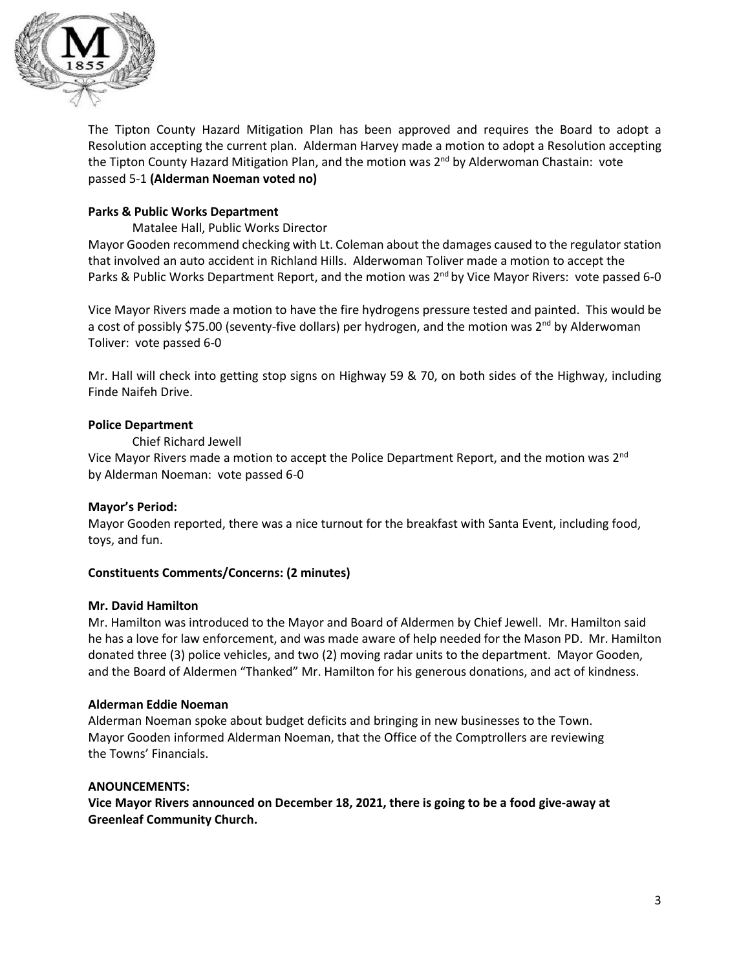

The Tipton County Hazard Mitigation Plan has been approved and requires the Board to adopt a Resolution accepting the current plan. Alderman Harvey made a motion to adopt a Resolution accepting the Tipton County Hazard Mitigation Plan, and the motion was 2<sup>nd</sup> by Alderwoman Chastain: vote passed 5-1 **(Alderman Noeman voted no)**

# **Parks & Public Works Department**

Matalee Hall, Public Works Director

Mayor Gooden recommend checking with Lt. Coleman about the damages caused to the regulator station that involved an auto accident in Richland Hills. Alderwoman Toliver made a motion to accept the Parks & Public Works Department Report, and the motion was 2<sup>nd</sup> by Vice Mayor Rivers: vote passed 6-0

Vice Mayor Rivers made a motion to have the fire hydrogens pressure tested and painted. This would be a cost of possibly \$75.00 (seventy-five dollars) per hydrogen, and the motion was 2<sup>nd</sup> by Alderwoman Toliver: vote passed 6-0

Mr. Hall will check into getting stop signs on Highway 59 & 70, on both sides of the Highway, including Finde Naifeh Drive.

### **Police Department**

Chief Richard Jewell

Vice Mayor Rivers made a motion to accept the Police Department Report, and the motion was 2<sup>nd</sup> by Alderman Noeman: vote passed 6-0

# **Mayor's Period:**

Mayor Gooden reported, there was a nice turnout for the breakfast with Santa Event, including food, toys, and fun.

# **Constituents Comments/Concerns: (2 minutes)**

### **Mr. David Hamilton**

Mr. Hamilton was introduced to the Mayor and Board of Aldermen by Chief Jewell. Mr. Hamilton said he has a love for law enforcement, and was made aware of help needed for the Mason PD. Mr. Hamilton donated three (3) police vehicles, and two (2) moving radar units to the department. Mayor Gooden, and the Board of Aldermen "Thanked" Mr. Hamilton for his generous donations, and act of kindness.

# **Alderman Eddie Noeman**

Alderman Noeman spoke about budget deficits and bringing in new businesses to the Town. Mayor Gooden informed Alderman Noeman, that the Office of the Comptrollers are reviewing the Towns' Financials.

### **ANOUNCEMENTS:**

**Vice Mayor Rivers announced on December 18, 2021, there is going to be a food give-away at Greenleaf Community Church.**